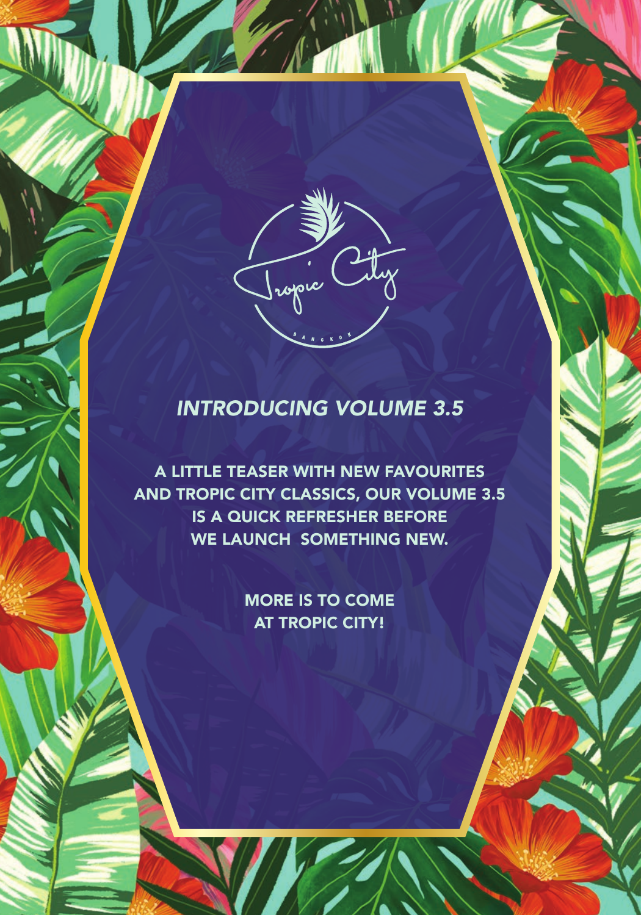

# *INTRODUCING VOLUME 3.5*

A LITTLE TEASER WITH NEW FAVOURITES AND TROPIC CITY CLASSICS, OUR VOLUME 3.5 IS A QUICK REFRESHER BEFORE WE LAUNCH SOMETHING NEW.

> MORE IS TO COME AT TROPIC CITY!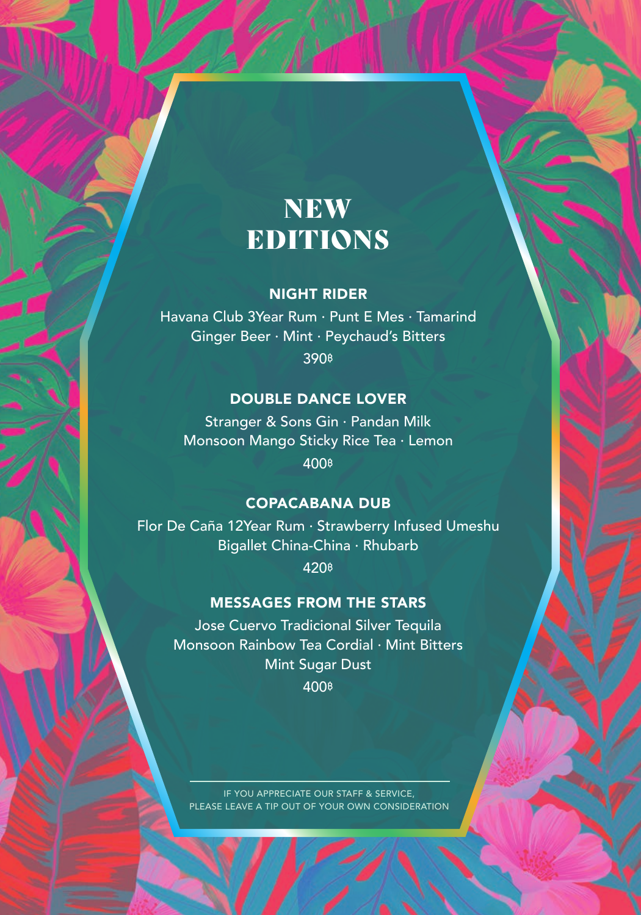# **NEW** EDITIONS

## NIGHT RIDER

Havana Club 3Year Rum · Punt E Mes · Tamarind Ginger Beer · Mint · Peychaud's Bitters 390**฿**

## DOUBLE DANCE LOVER

Stranger & Sons Gin · Pandan Milk Monsoon Mango Sticky Rice Tea · Lemon 400**฿**

## COPACABANA DUB

Flor De Caña 12Year Rum · Strawberry Infused Umeshu Bigallet China-China · Rhubarb

420**฿**

## MESSAGES FROM THE STARS

Jose Cuervo Tradicional Silver Tequila Monsoon Rainbow Tea Cordial · Mint Bitters Mint Sugar Dust 400**฿**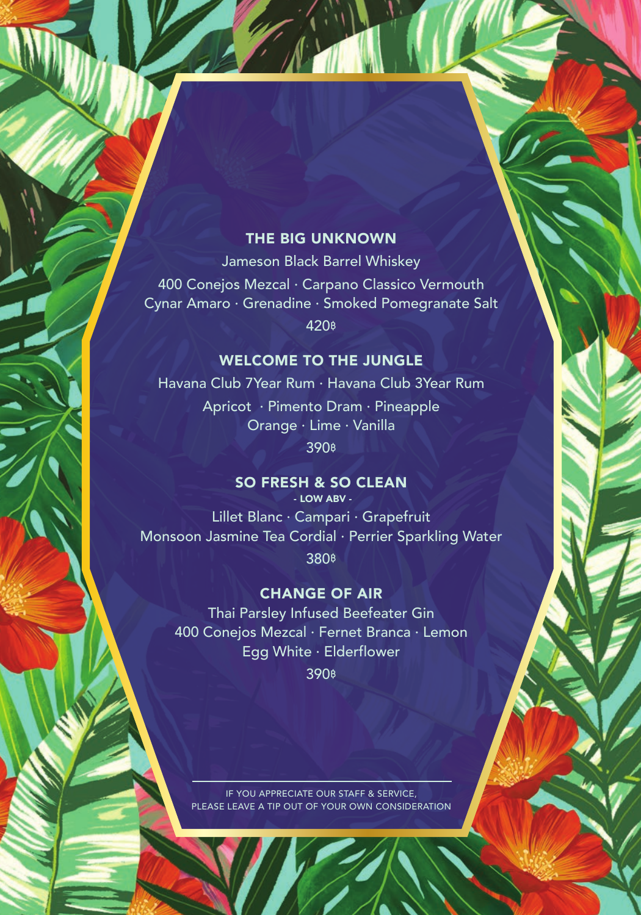## THE BIG UNKNOWN

Jameson Black Barrel Whiskey 400 Conejos Mezcal · Carpano Classico Vermouth Cynar Amaro · Grenadine · Smoked Pomegranate Salt 420**฿**

## WELCOME TO THE JUNGLE

Havana Club 7Year Rum · Havana Club 3Year Rum Apricot · Pimento Dram · Pineapple Orange · Lime · Vanilla 390**฿**

# SO FRESH & SO CLEAN

Lillet Blanc · Campari · Grapefruit Monsoon Jasmine Tea Cordial · Perrier Sparkling Water 380**฿**

#### CHANGE OF AIR

Thai Parsley Infused Beefeater Gin 400 Conejos Mezcal · Fernet Branca · Lemon Egg White · Elderflower 390**฿**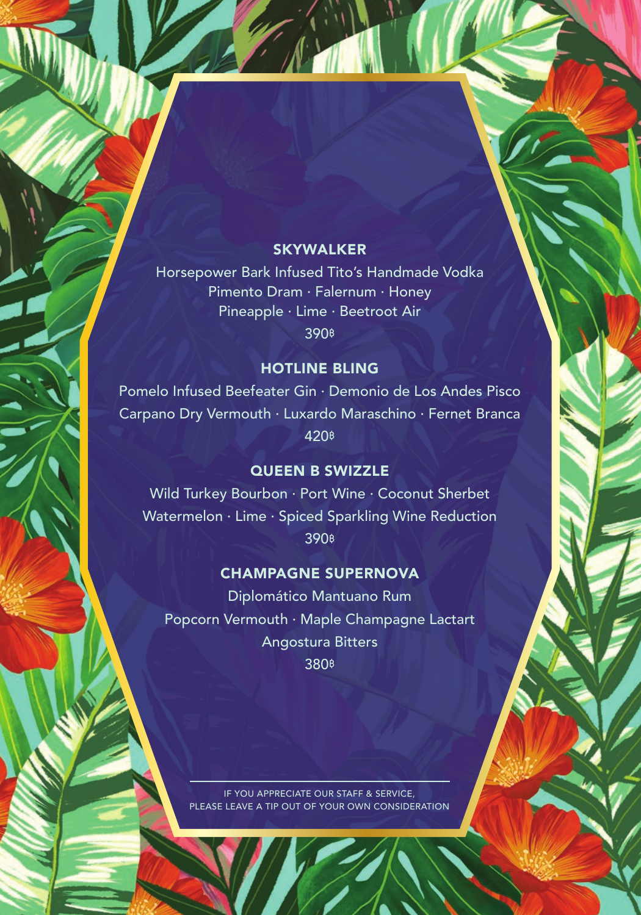#### **SKYWALKER**

Horsepower Bark Infused Tito's Handmade Vodka Pimento Dram · Falernum · Honey Pineapple · Lime · Beetroot Air 390**฿**

### HOTLINE BLING

Pomelo Infused Beefeater Gin · Demonio de Los Andes Pisco Carpano Dry Vermouth · Luxardo Maraschino · Fernet Branca 420**฿**

#### QUEEN B SWIZZLE

Wild Turkey Bourbon · Port Wine · Coconut Sherbet Watermelon · Lime · Spiced Sparkling Wine Reduction 390**฿**

#### CHAMPAGNE SUPERNOVA

Diplomático Mantuano Rum Popcorn Vermouth · Maple Champagne Lactart Angostura Bitters 380**฿**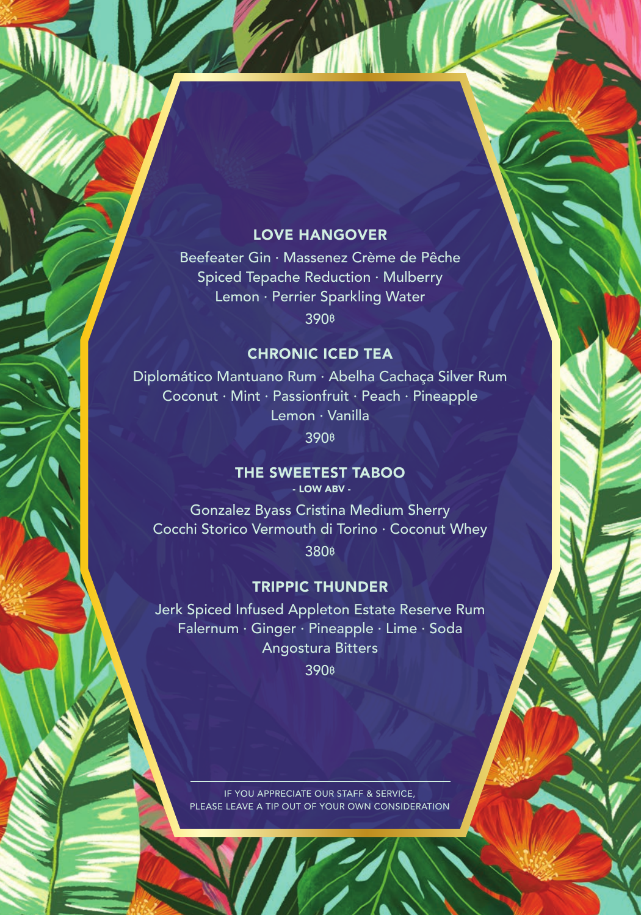## LOVE HANGOVER

Beefeater Gin · Massenez Crème de Pêche Spiced Tepache Reduction · Mulberry Lemon · Perrier Sparkling Water 390**฿**

## CHRONIC ICED TEA

Diplomático Mantuano Rum · Abelha Cachaça Silver Rum Coconut · Mint · Passionfruit · Peach · Pineapple Lemon · Vanilla

390**฿**

## THE SWEETEST TABOO

- LOW ABV -

Gonzalez Byass Cristina Medium Sherry Cocchi Storico Vermouth di Torino · Coconut Whey 380**฿**

#### TRIPPIC THUNDER

Jerk Spiced Infused Appleton Estate Reserve Rum Falernum · Ginger · Pineapple · Lime · Soda Angostura Bitters

390**฿**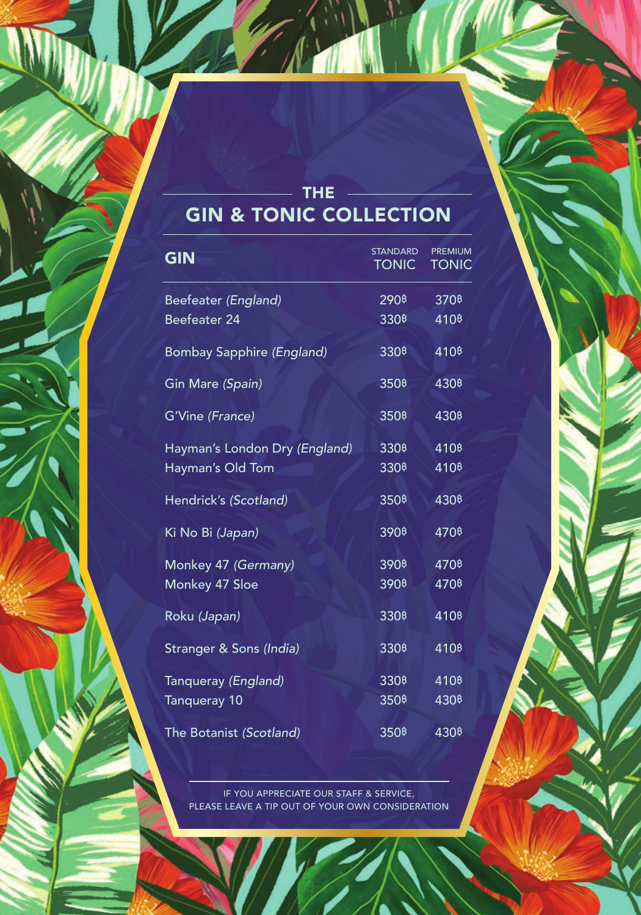# THE GIN & TONIC COLLECTION

| <b>GIN</b>                       | <b>STANDARD</b><br><b>TONIC</b>   | <b>PREMIUM</b><br><b>TONIC</b>    |
|----------------------------------|-----------------------------------|-----------------------------------|
| Beefeater (England)              | 290 <sup>B</sup>                  | 370 <sup><math>B</math></sup>     |
| Beefeater 24                     | 330 <sup>B</sup>                  | 410 <sup><math>\beta</math></sup> |
| <b>Bombay Sapphire (England)</b> | 330 <sup><math>\beta</math></sup> | 410 <sup><math>\beta</math></sup> |
| Gin Mare (Spain)                 | 350 <sup><math>\beta</math></sup> | 430 <sup><math>\beta</math></sup> |
| G'Vine (France)                  | 350 <sup>\$</sup>                 | 4308                              |
| Hayman's London Dry (England)    | 330 <sup><math>\beta</math></sup> | 410 <sup><math>\beta</math></sup> |
| Hayman's Old Tom                 | 330 <sup><math>\beta</math></sup> | 410 <sup><math>\beta</math></sup> |
| Hendrick's (Scotland)            | 350 <sup><math>\beta</math></sup> | 430 <sup>¢</sup>                  |
| Ki No Bi (Japan)                 | 390 <sup>B</sup>                  | 470 <sup><math>\beta</math></sup> |
| Monkey 47 (Germany)              | 390 <sup><math>\beta</math></sup> | 4708                              |
| Monkey 47 Sloe                   | 390 <sup><math>\beta</math></sup> | 4708                              |
| Roku (Japan)                     | 330 <sup><sup>8</sup></sup>       | 410 <sup><math>\beta</math></sup> |
| Stranger & Sons (India)          | 330 <sup><sup>8</sup></sup>       | 410 <sup>B</sup>                  |
| Tanqueray (England)              | 330 <sup><math>\beta</math></sup> | 410 <sup><math>\beta</math></sup> |
| Tanqueray 10                     | 350 <sup><math>\beta</math></sup> | 430 <sup>\$</sup>                 |
| The Botanist (Scotland)          | 350 <sup>\$</sup>                 | 430 <sup>¢</sup>                  |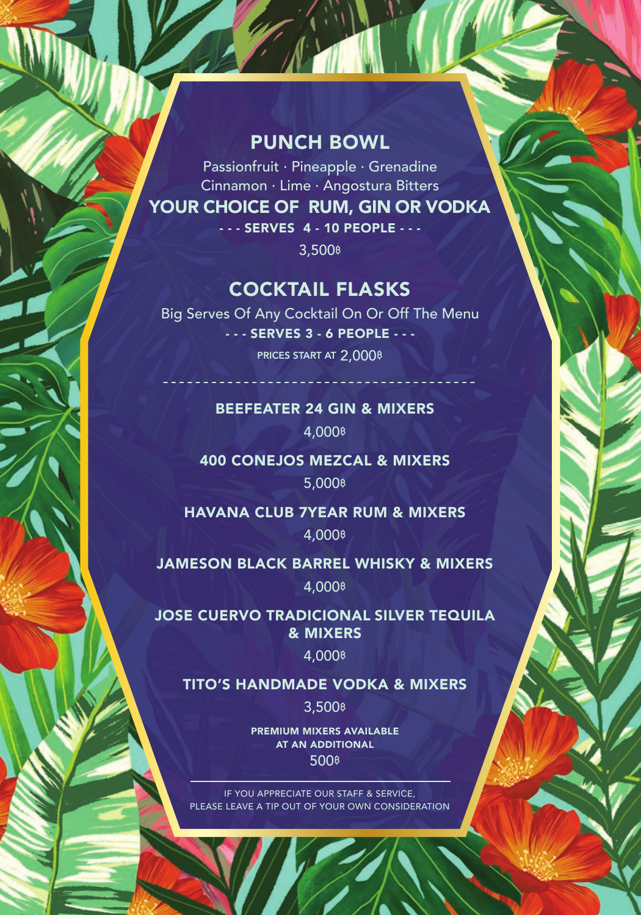# PUNCH BOWL

Passionfruit · Pineapple · Grenadine Cinnamon · Lime · Angostura Bitters YOUR CHOICE OF RUM, GIN OR VODKA - - - SERVES 4 - 10 PEOPLE - - -

3,500**฿**

# COCKTAIL FLASKS

Big Serves Of Any Cocktail On Or Off The Menu - - - SERVES 3 - 6 PEOPLE - - - PRICES START AT 2,000**฿**

> BEEFEATER 24 GIN & MIXERS 4,000**฿**

400 CONEJOS MEZCAL & MIXERS

5,000**฿**

HAVANA CLUB 7YEAR RUM & MIXERS 4,000**฿**

JAMESON BLACK BARREL WHISKY & MIXERS

4,000**฿**

JOSE CUERVO TRADICIONAL SILVER TEQUILA & MIXERS

4,000**฿**

TITO'S HANDMADE VODKA & MIXERS

3,500**฿**

PREMIUM MIXERS AVAILABLE AT AN ADDITIONAL 500**฿**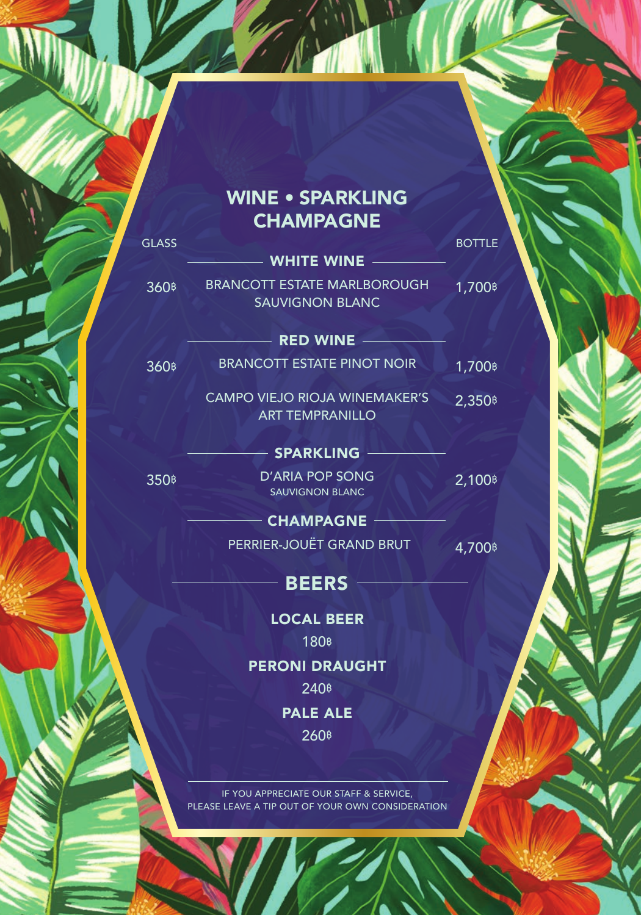# WINE • SPARKLING **CHAMPAGNE**

**GLASS** BOTTLE  $-$  WHITE WINE  $-$ BRANCOTT ESTATE MARLBOROUGH 360**฿** 1,700**฿** SAUVIGNON BLANC  $-$  RED WINE  $360$ **b** BRANCOTT ESTATE PINOT NOIR 1,700**b**  CAMPO VIEJO RIOJA WINEMAKER'S ART TEMPRANILLO  $-$  SPARKLING  $-$ D'ARIA POP SONG 350**฿** 2,100**฿** SAUVIGNON BLANC 2,350**฿**

> $-$  CHAMPAGNE  $-$ PERRIER-JOUËT GRAND BRUT 4,700**฿**

> > LOCAL BEER

 $-$  BEERS  $-$ 

180**฿** PERONI DRAUGHT 240**฿** PALE ALE

260**฿**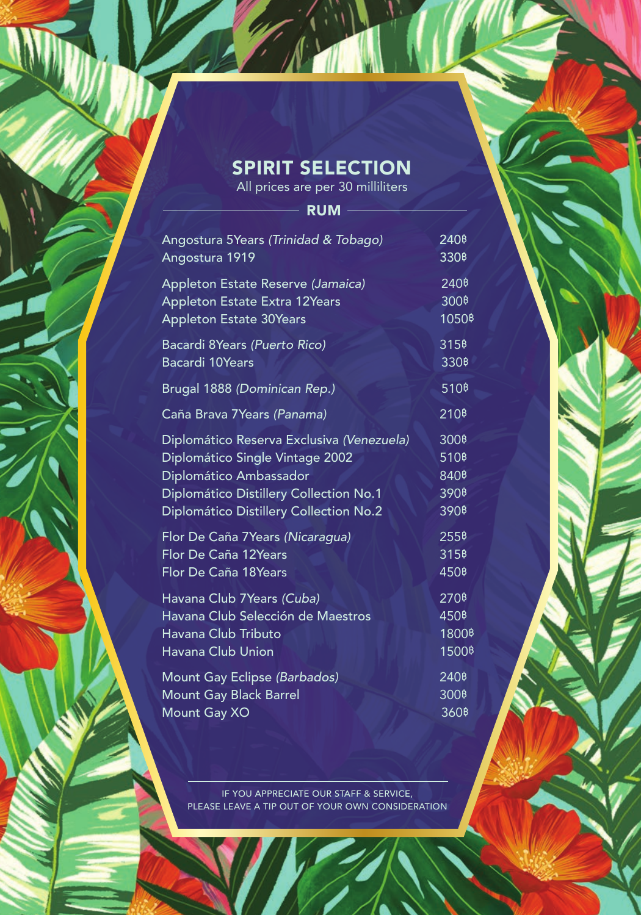# SPIRIT SELECTION

All prices are per 30 milliliters

 $-$  RUM  $-$  Angostura 5Years *(Trinidad & Tobago)* 240**฿** Angostura 1919 330**฿** Appleton Estate Reserve *(Jamaica)* 240**฿** Appleton Estate Extra 12Years 300<sup>8</sup> Appleton Estate 30Years 1050<sup>\$</sup> Bacardi 8Years *(Puerto Rico)* 315**฿** Bacardi 10Years 330<sup>B</sup> Brugal 1888 *(Dominican Rep.)* 510**฿** Caña Brava 7Years *(Panama)* 210**฿** Diplomático Reserva Exclusiva *(Venezuela)* 300**฿** Diplomático Single Vintage 2002 510**฿** Diplomático Ambassador 840**฿** Diplomático Distillery Collection No.1 390**฿** Diplomático Distillery Collection No.2 390**฿** Flor De Caña 7Years *(Nicaragua)* 255**฿** Flor De Caña 12Years 315**B** Flor De Caña 18Years 450**<sup>8</sup>** Havana Club 7Years *(Cuba)* 270**฿** Havana Club Selección de Maestros 450**฿** Havana Club Tributo 1800**฿** Havana Club Union 1500**฿** Mount Gay Eclipse *(Barbados)* 240**฿** Mount Gay Black Barrel 300<sup>8</sup> Mount Gay XO 360**B**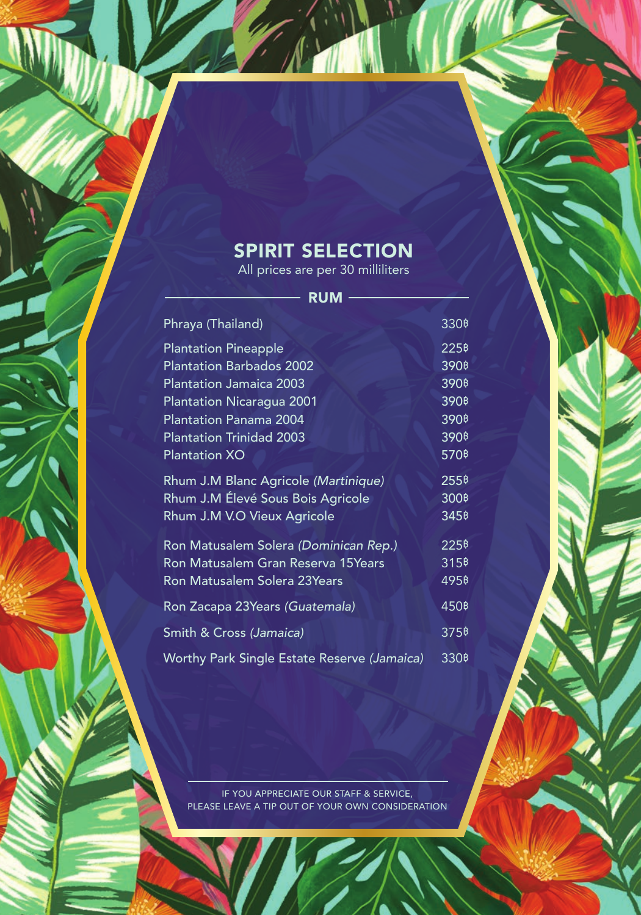# SPIRIT SELECTION

All prices are per 30 milliliters

| RUM                                         |                                   |
|---------------------------------------------|-----------------------------------|
| Phraya (Thailand)                           | 330 <sup><sup>8</sup></sup>       |
| <b>Plantation Pineapple</b>                 | 225 <sup>B</sup>                  |
| <b>Plantation Barbados 2002</b>             | 390 <sup>\$</sup>                 |
| <b>Plantation Jamaica 2003</b>              | 390 <sup><math>\beta</math></sup> |
| Plantation Nicaragua 2001                   | 390 <sup>\$</sup>                 |
| <b>Plantation Panama 2004</b>               | 390 <sup>\$</sup>                 |
| <b>Plantation Trinidad 2003</b>             | 390 <sup>\$</sup>                 |
| <b>Plantation XO</b>                        | 570 <sup><math>\beta</math></sup> |
| Rhum J.M Blanc Agricole (Martinique)        | 255 <sup>\$</sup>                 |
| Rhum J.M Élevé Sous Bois Agricole           | 300 <sup><math>\beta</math></sup> |
| Rhum J.M V.O Vieux Agricole                 | 345 <sup><sup>8</sup></sup>       |
| Ron Matusalem Solera (Dominican Rep.)       | 2258                              |
| Ron Matusalem Gran Reserva 15Years          | 315 <sup><sup>8</sup></sup>       |
| Ron Matusalem Solera 23Years                | 4958                              |
| Ron Zacapa 23Years (Guatemala)              | 450 <sup>\$</sup>                 |
| Smith & Cross (Jamaica)                     | 3758                              |
| Worthy Park Single Estate Reserve (Jamaica) | 330 <sup><sup>8</sup></sup>       |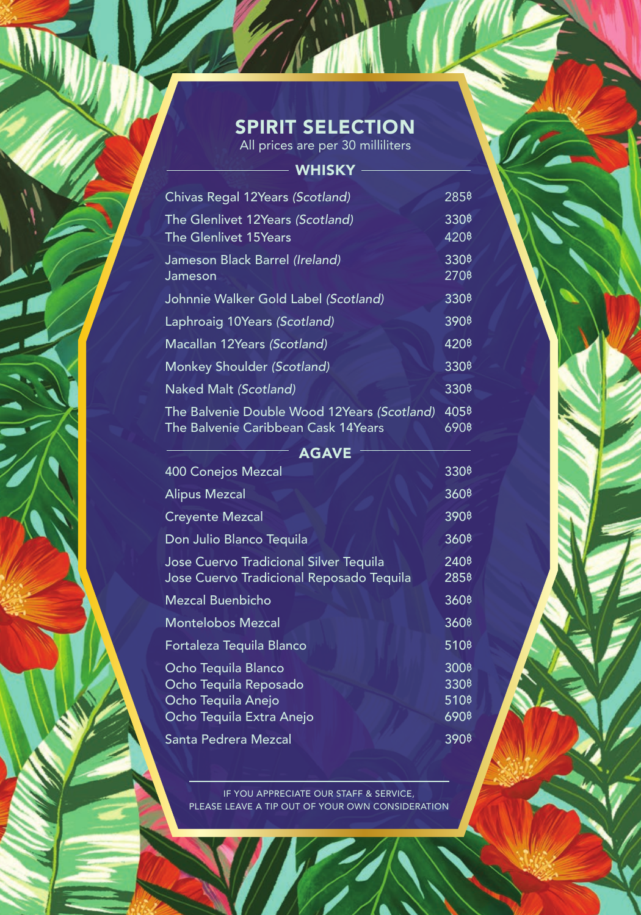# SPIRIT SELECTION

All prices are per 30 milliliters

| <b>WHISKY</b>                                                                                  |                                                                                            |
|------------------------------------------------------------------------------------------------|--------------------------------------------------------------------------------------------|
| Chivas Regal 12Years (Scotland)                                                                | 285 <sup>\$</sup>                                                                          |
| The Glenlivet 12Years (Scotland)                                                               | 330 <sup>B</sup>                                                                           |
| The Glenlivet 15 Years                                                                         | 420 <sup><math>\beta</math></sup>                                                          |
| Jameson Black Barrel (Ireland)<br>Jameson                                                      | 330 <sup><sup>8</sup></sup><br>270 <sup>8</sup>                                            |
| Johnnie Walker Gold Label (Scotland)                                                           | 330 <sup>\$</sup>                                                                          |
| Laphroaig 10Years (Scotland)                                                                   | 390 <sup><sup>8</sup></sup>                                                                |
| Macallan 12Years (Scotland)                                                                    | 4208                                                                                       |
| Monkey Shoulder (Scotland)                                                                     | 330 <sup><sup>8</sup></sup>                                                                |
| <b>Naked Malt (Scotland)</b>                                                                   | 330 <sup><sup>8</sup></sup>                                                                |
| The Balvenie Double Wood 12Years (Scotland)<br>The Balvenie Caribbean Cask 14Years             | 4058<br>690₿                                                                               |
| <b>AGAVE</b>                                                                                   |                                                                                            |
| 400 Conejos Mezcal                                                                             | 330 <sup><sup>8</sup></sup>                                                                |
| Alipus Mezcal                                                                                  | 360 <sup><math>\beta</math></sup>                                                          |
| <b>Creyente Mezcal</b>                                                                         | 390\$                                                                                      |
| Don Julio Blanco Tequila                                                                       | 360 <sup><math>\beta</math></sup>                                                          |
| Jose Cuervo Tradicional Silver Tequila<br>Jose Cuervo Tradicional Reposado Tequila             | 240 <sup><math>\beta</math></sup><br>285 <sup>B</sup>                                      |
| Mezcal Buenbicho                                                                               | 360 <sup><math>\beta</math></sup>                                                          |
| <b>Montelobos Mezcal</b>                                                                       | 360 <sup><sup>8</sup></sup>                                                                |
| Fortaleza Tequila Blanco                                                                       | 510 <sup><math>\beta</math></sup>                                                          |
| Ocho Tequila Blanco<br>Ocho Tequila Reposado<br>Ocho Tequila Anejo<br>Ocho Tequila Extra Anejo | 300 <sup>\$</sup><br>330 <sup><sup>8</sup></sup><br>510 <sup>\$</sup><br>690 <sup>\$</sup> |
| Santa Pedrera Mezcal                                                                           | 390 <sup><sup>8</sup></sup>                                                                |